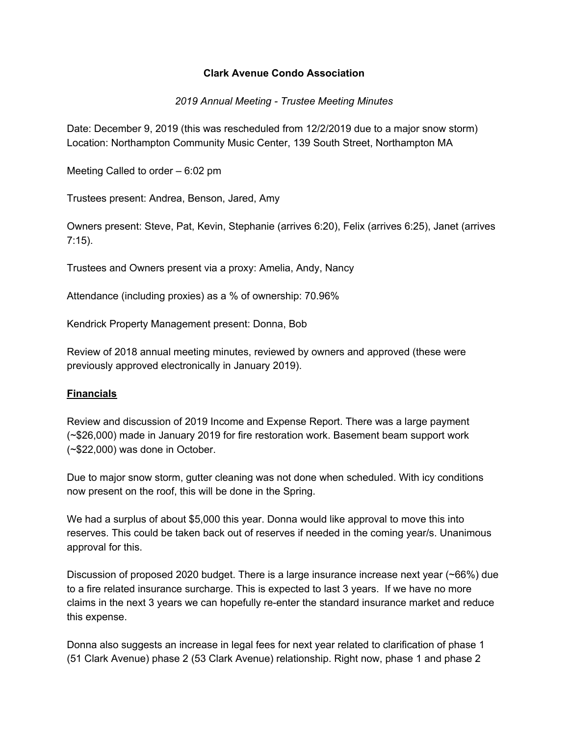### **Clark Avenue Condo Association**

#### *2019 Annual Meeting - Trustee Meeting Minutes*

Date: December 9, 2019 (this was rescheduled from 12/2/2019 due to a major snow storm) Location: Northampton Community Music Center, 139 South Street, Northampton MA

Meeting Called to order – 6:02 pm

Trustees present: Andrea, Benson, Jared, Amy

Owners present: Steve, Pat, Kevin, Stephanie (arrives 6:20), Felix (arrives 6:25), Janet (arrives 7:15).

Trustees and Owners present via a proxy: Amelia, Andy, Nancy

Attendance (including proxies) as a % of ownership: 70.96%

Kendrick Property Management present: Donna, Bob

Review of 2018 annual meeting minutes, reviewed by owners and approved (these were previously approved electronically in January 2019).

### **Financials**

Review and discussion of 2019 Income and Expense Report. There was a large payment (~\$26,000) made in January 2019 for fire restoration work. Basement beam support work (~\$22,000) was done in October.

Due to major snow storm, gutter cleaning was not done when scheduled. With icy conditions now present on the roof, this will be done in the Spring.

We had a surplus of about \$5,000 this year. Donna would like approval to move this into reserves. This could be taken back out of reserves if needed in the coming year/s. Unanimous approval for this.

Discussion of proposed 2020 budget. There is a large insurance increase next year (~66%) due to a fire related insurance surcharge. This is expected to last 3 years. If we have no more claims in the next 3 years we can hopefully re-enter the standard insurance market and reduce this expense.

Donna also suggests an increase in legal fees for next year related to clarification of phase 1 (51 Clark Avenue) phase 2 (53 Clark Avenue) relationship. Right now, phase 1 and phase 2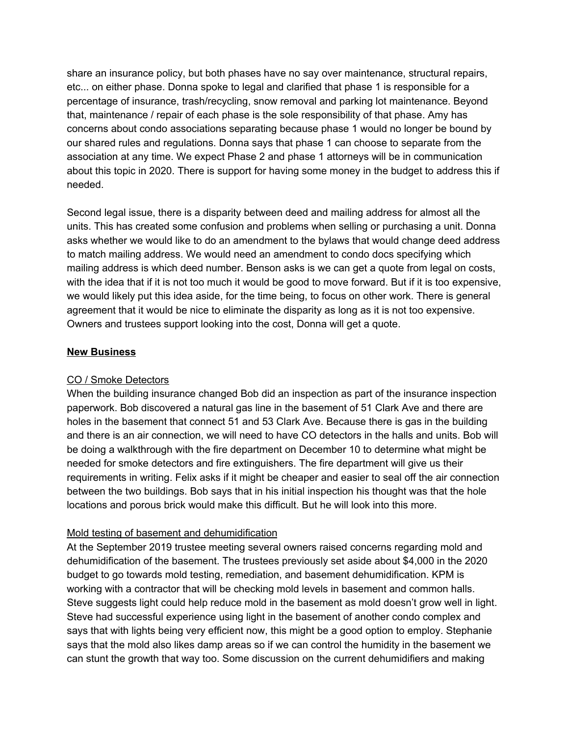share an insurance policy, but both phases have no say over maintenance, structural repairs, etc... on either phase. Donna spoke to legal and clarified that phase 1 is responsible for a percentage of insurance, trash/recycling, snow removal and parking lot maintenance. Beyond that, maintenance / repair of each phase is the sole responsibility of that phase. Amy has concerns about condo associations separating because phase 1 would no longer be bound by our shared rules and regulations. Donna says that phase 1 can choose to separate from the association at any time. We expect Phase 2 and phase 1 attorneys will be in communication about this topic in 2020. There is support for having some money in the budget to address this if needed.

Second legal issue, there is a disparity between deed and mailing address for almost all the units. This has created some confusion and problems when selling or purchasing a unit. Donna asks whether we would like to do an amendment to the bylaws that would change deed address to match mailing address. We would need an amendment to condo docs specifying which mailing address is which deed number. Benson asks is we can get a quote from legal on costs, with the idea that if it is not too much it would be good to move forward. But if it is too expensive, we would likely put this idea aside, for the time being, to focus on other work. There is general agreement that it would be nice to eliminate the disparity as long as it is not too expensive. Owners and trustees support looking into the cost, Donna will get a quote.

### **New Business**

### CO / Smoke Detectors

When the building insurance changed Bob did an inspection as part of the insurance inspection paperwork. Bob discovered a natural gas line in the basement of 51 Clark Ave and there are holes in the basement that connect 51 and 53 Clark Ave. Because there is gas in the building and there is an air connection, we will need to have CO detectors in the halls and units. Bob will be doing a walkthrough with the fire department on December 10 to determine what might be needed for smoke detectors and fire extinguishers. The fire department will give us their requirements in writing. Felix asks if it might be cheaper and easier to seal off the air connection between the two buildings. Bob says that in his initial inspection his thought was that the hole locations and porous brick would make this difficult. But he will look into this more.

### Mold testing of basement and dehumidification

At the September 2019 trustee meeting several owners raised concerns regarding mold and dehumidification of the basement. The trustees previously set aside about \$4,000 in the 2020 budget to go towards mold testing, remediation, and basement dehumidification. KPM is working with a contractor that will be checking mold levels in basement and common halls. Steve suggests light could help reduce mold in the basement as mold doesn't grow well in light. Steve had successful experience using light in the basement of another condo complex and says that with lights being very efficient now, this might be a good option to employ. Stephanie says that the mold also likes damp areas so if we can control the humidity in the basement we can stunt the growth that way too. Some discussion on the current dehumidifiers and making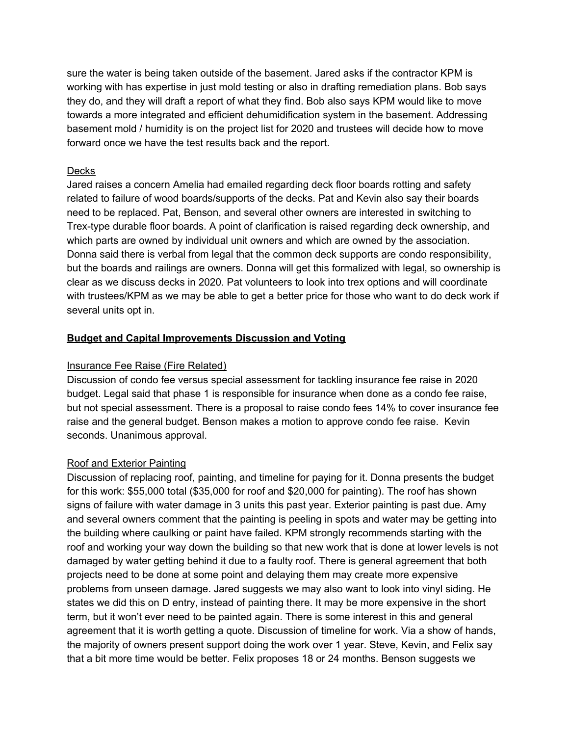sure the water is being taken outside of the basement. Jared asks if the contractor KPM is working with has expertise in just mold testing or also in drafting remediation plans. Bob says they do, and they will draft a report of what they find. Bob also says KPM would like to move towards a more integrated and efficient dehumidification system in the basement. Addressing basement mold / humidity is on the project list for 2020 and trustees will decide how to move forward once we have the test results back and the report.

### **Decks**

Jared raises a concern Amelia had emailed regarding deck floor boards rotting and safety related to failure of wood boards/supports of the decks. Pat and Kevin also say their boards need to be replaced. Pat, Benson, and several other owners are interested in switching to Trex-type durable floor boards. A point of clarification is raised regarding deck ownership, and which parts are owned by individual unit owners and which are owned by the association. Donna said there is verbal from legal that the common deck supports are condo responsibility, but the boards and railings are owners. Donna will get this formalized with legal, so ownership is clear as we discuss decks in 2020. Pat volunteers to look into trex options and will coordinate with trustees/KPM as we may be able to get a better price for those who want to do deck work if several units opt in.

### **Budget and Capital Improvements Discussion and Voting**

## Insurance Fee Raise (Fire Related)

Discussion of condo fee versus special assessment for tackling insurance fee raise in 2020 budget. Legal said that phase 1 is responsible for insurance when done as a condo fee raise, but not special assessment. There is a proposal to raise condo fees 14% to cover insurance fee raise and the general budget. Benson makes a motion to approve condo fee raise. Kevin seconds. Unanimous approval.

# Roof and Exterior Painting

Discussion of replacing roof, painting, and timeline for paying for it. Donna presents the budget for this work: \$55,000 total (\$35,000 for roof and \$20,000 for painting). The roof has shown signs of failure with water damage in 3 units this past year. Exterior painting is past due. Amy and several owners comment that the painting is peeling in spots and water may be getting into the building where caulking or paint have failed. KPM strongly recommends starting with the roof and working your way down the building so that new work that is done at lower levels is not damaged by water getting behind it due to a faulty roof. There is general agreement that both projects need to be done at some point and delaying them may create more expensive problems from unseen damage. Jared suggests we may also want to look into vinyl siding. He states we did this on D entry, instead of painting there. It may be more expensive in the short term, but it won't ever need to be painted again. There is some interest in this and general agreement that it is worth getting a quote. Discussion of timeline for work. Via a show of hands, the majority of owners present support doing the work over 1 year. Steve, Kevin, and Felix say that a bit more time would be better. Felix proposes 18 or 24 months. Benson suggests we